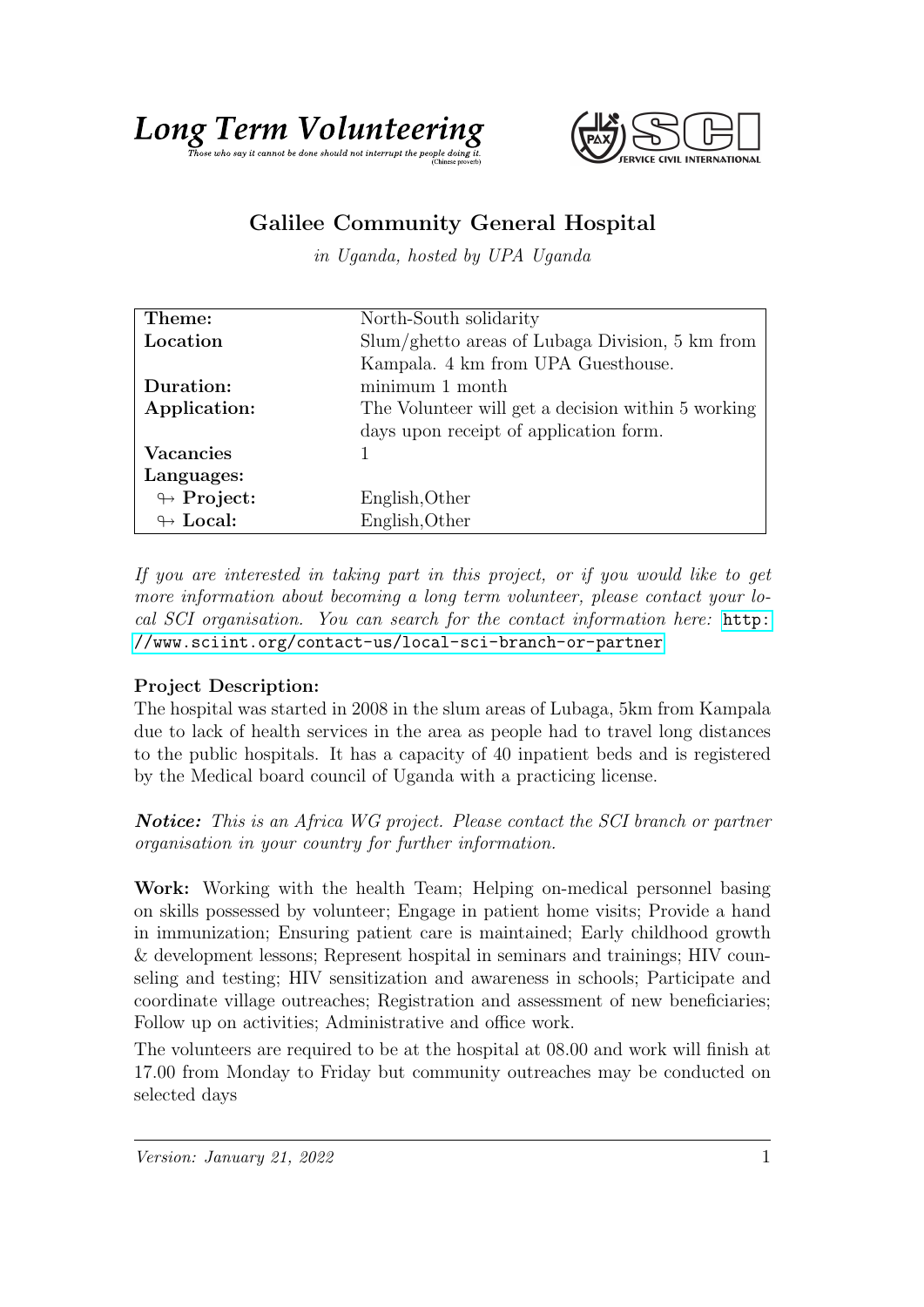



## Galilee Community General Hospital

in Uganda, hosted by UPA Uganda

| Theme:                     | North-South solidarity                             |
|----------------------------|----------------------------------------------------|
| Location                   | Slum/ghetto areas of Lubaga Division, 5 km from    |
|                            | Kampala. 4 km from UPA Guesthouse.                 |
| Duration:                  | minimum 1 month                                    |
| Application:               | The Volunteer will get a decision within 5 working |
|                            | days upon receipt of application form.             |
| <b>Vacancies</b>           |                                                    |
| Languages:                 |                                                    |
| $\leftrightarrow$ Project: | English, Other                                     |
| $\leftrightarrow$ Local:   | English, Other                                     |

If you are interested in taking part in this project, or if you would like to get more information about becoming a long term volunteer, please contact your local SCI organisation. You can search for the contact information here: [http:](http://www.sciint.org/contact-us/local-sci-branch-or-partner) [//www.sciint.org/contact-us/local-sci-branch-or-partner](http://www.sciint.org/contact-us/local-sci-branch-or-partner)

## Project Description:

The hospital was started in 2008 in the slum areas of Lubaga, 5km from Kampala due to lack of health services in the area as people had to travel long distances to the public hospitals. It has a capacity of 40 inpatient beds and is registered by the Medical board council of Uganda with a practicing license.

**Notice:** This is an Africa WG project. Please contact the SCI branch or partner organisation in your country for further information.

Work: Working with the health Team; Helping on-medical personnel basing on skills possessed by volunteer; Engage in patient home visits; Provide a hand in immunization; Ensuring patient care is maintained; Early childhood growth & development lessons; Represent hospital in seminars and trainings; HIV counseling and testing; HIV sensitization and awareness in schools; Participate and coordinate village outreaches; Registration and assessment of new beneficiaries; Follow up on activities; Administrative and office work.

The volunteers are required to be at the hospital at 08.00 and work will finish at 17.00 from Monday to Friday but community outreaches may be conducted on selected days